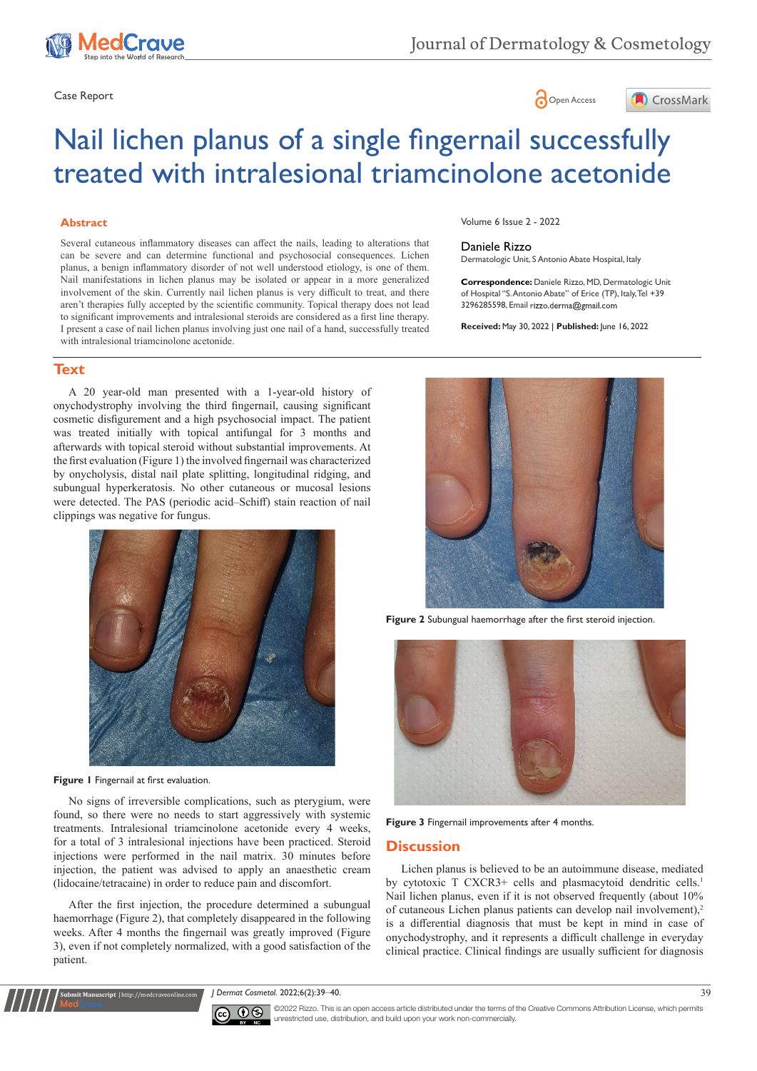

# Case Report **Case Report**



# Nail lichen planus of a single fingernail successfully treated with intralesional triamcinolone acetonide

#### **Abstract**

Several cutaneous inflammatory diseases can affect the nails, leading to alterations that can be severe and can determine functional and psychosocial consequences. Lichen planus, a benign inflammatory disorder of not well understood etiology, is one of them. Nail manifestations in lichen planus may be isolated or appear in a more generalized involvement of the skin. Currently nail lichen planus is very difficult to treat, and there aren't therapies fully accepted by the scientific community. Topical therapy does not lead to significant improvements and intralesional steroids are considered as a first line therapy. I present a case of nail lichen planus involving just one nail of a hand, successfully treated with intralesional triamcinolone acetonide.

**Text**

A 20 year-old man presented with a 1-year-old history of onychodystrophy involving the third fingernail, causing significant cosmetic disfigurement and a high psychosocial impact. The patient was treated initially with topical antifungal for 3 months and afterwards with topical steroid without substantial improvements. At the first evaluation (Figure 1) the involved fingernail was characterized by onycholysis, distal nail plate splitting, longitudinal ridging, and subungual hyperkeratosis. No other cutaneous or mucosal lesions were detected. The PAS (periodic acid–Schiff) stain reaction of nail clippings was negative for fungus.



**Figure 1** Fingernail at first evaluation.

**Submit Manuscript** | http://medcraveonline.com

No signs of irreversible complications, such as pterygium, were found, so there were no needs to start aggressively with systemic treatments. Intralesional triamcinolone acetonide every 4 weeks, for a total of 3 intralesional injections have been practiced. Steroid injections were performed in the nail matrix. 30 minutes before injection, the patient was advised to apply an anaesthetic cream (lidocaine/tetracaine) in order to reduce pain and discomfort.

After the first injection, the procedure determined a subungual haemorrhage (Figure 2), that completely disappeared in the following weeks. After 4 months the fingernail was greatly improved (Figure 3), even if not completely normalized, with a good satisfaction of the patient.

Volume 6 Issue 2 - 2022

#### Daniele Rizzo

Dermatologic Unit, S Antonio Abate Hospital, Italy

**Correspondence:** Daniele Rizzo, MD, Dermatologic Unit of Hospital "S. Antonio Abate" of Erice (TP), Italy, Tel +39 3296285598, Email rizzo.derma@gmail.com

**Received:** May 30, 2022 | **Published:** June 16, 2022



**Figure 2** Subungual haemorrhage after the first steroid injection.



**Figure 3** Fingernail improvements after 4 months.

#### **Discussion**

Lichen planus is believed to be an autoimmune disease, mediated by cytotoxic T CXCR3+ cells and plasmacytoid dendritic cells.<sup>1</sup> Nail lichen planus, even if it is not observed frequently (about 10% of cutaneous Lichen planus patients can develop nail involvement),<sup>2</sup> is a differential diagnosis that must be kept in mind in case of onychodystrophy, and it represents a difficult challenge in everyday clinical practice. Clinical findings are usually sufficient for diagnosis

*J Dermat Cosmetol.* 2022;6(2):39‒40. 39



©2022 Rizzo. This is an open access article distributed under the terms of the Creative Commons Attribution License, which permits unrestricted use, distribution, and build upon your work non-commercially.